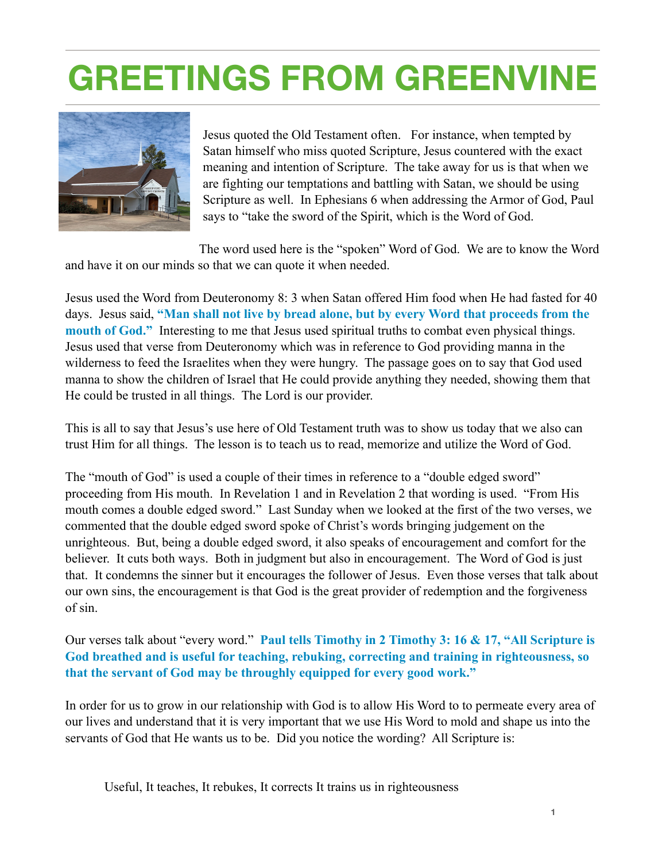## **GREETINGS FROM GREENVINE**



Jesus quoted the Old Testament often. For instance, when tempted by Satan himself who miss quoted Scripture, Jesus countered with the exact meaning and intention of Scripture. The take away for us is that when we are fighting our temptations and battling with Satan, we should be using Scripture as well. In Ephesians 6 when addressing the Armor of God, Paul says to "take the sword of the Spirit, which is the Word of God.

The word used here is the "spoken" Word of God. We are to know the Word and have it on our minds so that we can quote it when needed.

Jesus used the Word from Deuteronomy 8: 3 when Satan offered Him food when He had fasted for 40 days. Jesus said, **"Man shall not live by bread alone, but by every Word that proceeds from the mouth of God."** Interesting to me that Jesus used spiritual truths to combat even physical things. Jesus used that verse from Deuteronomy which was in reference to God providing manna in the wilderness to feed the Israelites when they were hungry. The passage goes on to say that God used manna to show the children of Israel that He could provide anything they needed, showing them that He could be trusted in all things. The Lord is our provider.

This is all to say that Jesus's use here of Old Testament truth was to show us today that we also can trust Him for all things. The lesson is to teach us to read, memorize and utilize the Word of God.

The "mouth of God" is used a couple of their times in reference to a "double edged sword" proceeding from His mouth. In Revelation 1 and in Revelation 2 that wording is used. "From His mouth comes a double edged sword." Last Sunday when we looked at the first of the two verses, we commented that the double edged sword spoke of Christ's words bringing judgement on the unrighteous. But, being a double edged sword, it also speaks of encouragement and comfort for the believer. It cuts both ways. Both in judgment but also in encouragement. The Word of God is just that. It condemns the sinner but it encourages the follower of Jesus. Even those verses that talk about our own sins, the encouragement is that God is the great provider of redemption and the forgiveness of sin.

Our verses talk about "every word." **Paul tells Timothy in 2 Timothy 3: 16 & 17, "All Scripture is God breathed and is useful for teaching, rebuking, correcting and training in righteousness, so that the servant of God may be throughly equipped for every good work."** 

In order for us to grow in our relationship with God is to allow His Word to to permeate every area of our lives and understand that it is very important that we use His Word to mold and shape us into the servants of God that He wants us to be. Did you notice the wording? All Scripture is:

Useful, It teaches, It rebukes, It corrects It trains us in righteousness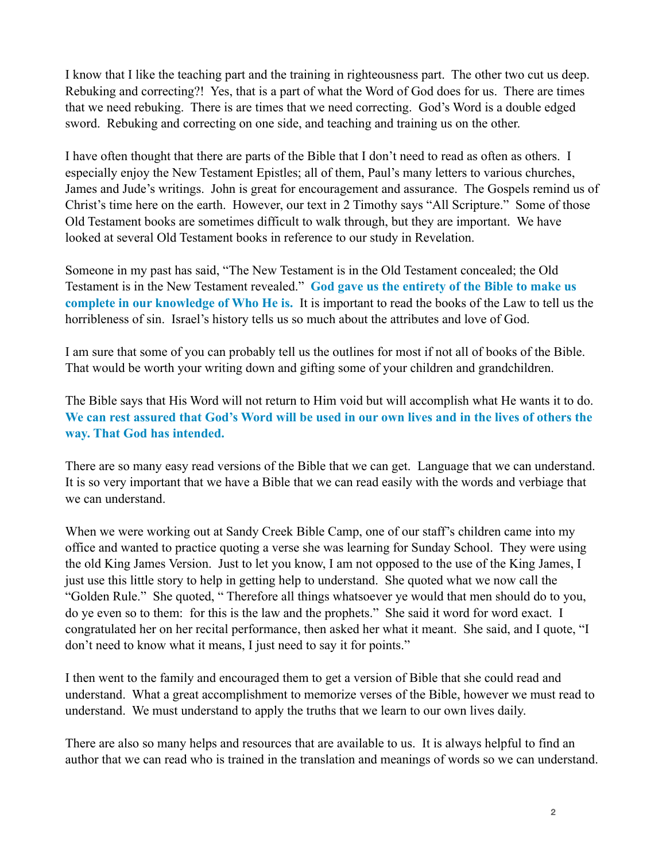I know that I like the teaching part and the training in righteousness part. The other two cut us deep. Rebuking and correcting?! Yes, that is a part of what the Word of God does for us. There are times that we need rebuking. There is are times that we need correcting. God's Word is a double edged sword. Rebuking and correcting on one side, and teaching and training us on the other.

I have often thought that there are parts of the Bible that I don't need to read as often as others. I especially enjoy the New Testament Epistles; all of them, Paul's many letters to various churches, James and Jude's writings. John is great for encouragement and assurance. The Gospels remind us of Christ's time here on the earth. However, our text in 2 Timothy says "All Scripture." Some of those Old Testament books are sometimes difficult to walk through, but they are important. We have looked at several Old Testament books in reference to our study in Revelation.

Someone in my past has said, "The New Testament is in the Old Testament concealed; the Old Testament is in the New Testament revealed." **God gave us the entirety of the Bible to make us complete in our knowledge of Who He is.** It is important to read the books of the Law to tell us the horribleness of sin. Israel's history tells us so much about the attributes and love of God.

I am sure that some of you can probably tell us the outlines for most if not all of books of the Bible. That would be worth your writing down and gifting some of your children and grandchildren.

The Bible says that His Word will not return to Him void but will accomplish what He wants it to do. **We can rest assured that God's Word will be used in our own lives and in the lives of others the way. That God has intended.** 

There are so many easy read versions of the Bible that we can get. Language that we can understand. It is so very important that we have a Bible that we can read easily with the words and verbiage that we can understand.

When we were working out at Sandy Creek Bible Camp, one of our staff's children came into my office and wanted to practice quoting a verse she was learning for Sunday School. They were using the old King James Version. Just to let you know, I am not opposed to the use of the King James, I just use this little story to help in getting help to understand. She quoted what we now call the "Golden Rule." She quoted, " Therefore all things whatsoever ye would that men should do to you, do ye even so to them: for this is the law and the prophets." She said it word for word exact. I congratulated her on her recital performance, then asked her what it meant. She said, and I quote, "I don't need to know what it means, I just need to say it for points."

I then went to the family and encouraged them to get a version of Bible that she could read and understand. What a great accomplishment to memorize verses of the Bible, however we must read to understand. We must understand to apply the truths that we learn to our own lives daily.

There are also so many helps and resources that are available to us. It is always helpful to find an author that we can read who is trained in the translation and meanings of words so we can understand.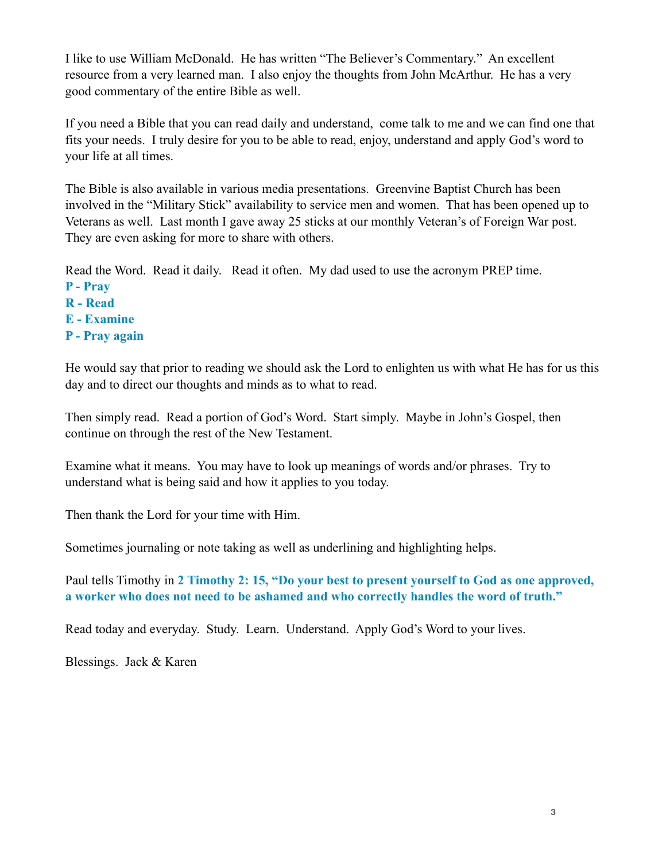I like to use William McDonald. He has written "The Believer's Commentary." An excellent resource from a very learned man. I also enjoy the thoughts from John McArthur. He has a very good commentary of the entire Bible as well.

If you need a Bible that you can read daily and understand, come talk to me and we can find one that fits your needs. I truly desire for you to be able to read, enjoy, understand and apply God's word to your life at all times.

The Bible is also available in various media presentations. Greenvine Baptist Church has been involved in the "Military Stick" availability to service men and women. That has been opened up to Veterans as well. Last month I gave away 25 sticks at our monthly Veteran's of Foreign War post. They are even asking for more to share with others.

Read the Word. Read it daily. Read it often. My dad used to use the acronym PREP time.

- **P Pray**
- **R Read**
- **E Examine**
- **P Pray again**

He would say that prior to reading we should ask the Lord to enlighten us with what He has for us this day and to direct our thoughts and minds as to what to read.

Then simply read. Read a portion of God's Word. Start simply. Maybe in John's Gospel, then continue on through the rest of the New Testament.

Examine what it means. You may have to look up meanings of words and/or phrases. Try to understand what is being said and how it applies to you today.

Then thank the Lord for your time with Him.

Sometimes journaling or note taking as well as underlining and highlighting helps.

Paul tells Timothy in **2 Timothy 2: 15, "Do your best to present yourself to God as one approved, a worker who does not need to be ashamed and who correctly handles the word of truth."** 

Read today and everyday. Study. Learn. Understand. Apply God's Word to your lives.

Blessings. Jack & Karen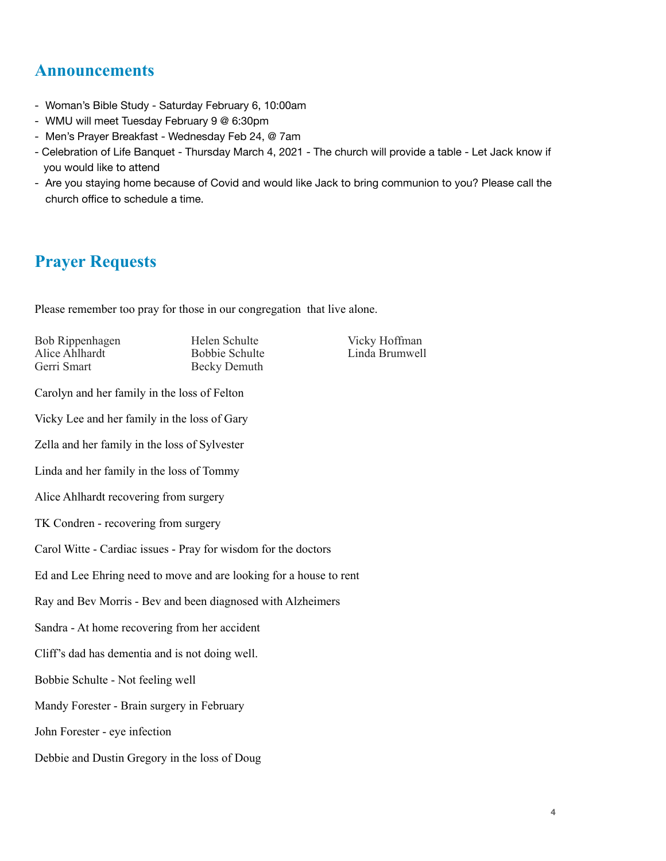## **Announcements**

- Woman's Bible Study Saturday February 6, 10:00am
- WMU will meet Tuesday February 9 @ 6:30pm
- Men's Prayer Breakfast Wednesday Feb 24, @ 7am
- Celebration of Life Banquet Thursday March 4, 2021 The church will provide a table Let Jack know if you would like to attend
- Are you staying home because of Covid and would like Jack to bring communion to you? Please call the church office to schedule a time.

## **Prayer Requests**

Please remember too pray for those in our congregation that live alone.

Bob Rippenhagen Helen Schulte Vicky Hoffman<br>Alice Ahlhardt Bobbie Schulte Linda Brumwel Alice Ahlhardt Bobbie Schulte Linda Brumwell<br>
Gerri Smart Becky Demuth

Becky Demuth

Carolyn and her family in the loss of Felton

Vicky Lee and her family in the loss of Gary

Zella and her family in the loss of Sylvester

Linda and her family in the loss of Tommy

Alice Ahlhardt recovering from surgery

TK Condren - recovering from surgery

Carol Witte - Cardiac issues - Pray for wisdom for the doctors

Ed and Lee Ehring need to move and are looking for a house to rent

Ray and Bev Morris - Bev and been diagnosed with Alzheimers

Sandra - At home recovering from her accident

Cliff's dad has dementia and is not doing well.

Bobbie Schulte - Not feeling well

Mandy Forester - Brain surgery in February

John Forester - eye infection

Debbie and Dustin Gregory in the loss of Doug